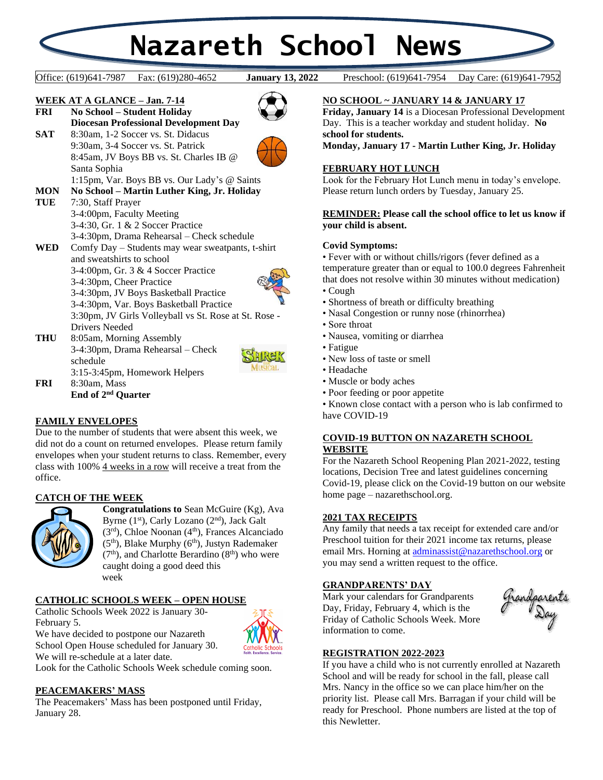# **Nazareth School News**

**January 13, 2022** 

Office: (619)641-7987 Fax: (619)280-4652 **January 13, 2022** Preschool: (619)641-7954 Day Care: (619)641-7952



**End of 2 nd Quarter**

# **FAMILY ENVELOPES**

Due to the number of students that were absent this week, we did not do a count on returned envelopes. Please return family envelopes when your student returns to class. Remember, every class with 100% 4 weeks in a row will receive a treat from the office.

# **CATCH OF THE WEEK**



**Congratulations to** Sean McGuire (Kg), Ava Byrne (1<sup>st</sup>), Carly Lozano (2<sup>nd</sup>), Jack Galt  $(3<sup>rd</sup>)$ , Chloe Noonan  $(4<sup>th</sup>)$ , Frances Alcanciado  $(5<sup>th</sup>)$ , Blake Murphy  $(6<sup>th</sup>)$ , Justyn Rademaker  $(7<sup>th</sup>)$ , and Charlotte Berardino  $(8<sup>th</sup>)$  who were caught doing a good deed this week

# **CATHOLIC SCHOOLS WEEK – OPEN HOUSE**

Catholic Schools Week 2022 is January 30- February 5. We have decided to postpone our Nazareth School Open House scheduled for January 30. We will re-schedule at a later date.



Look for the Catholic Schools Week schedule coming soon.

# **PEACEMAKERS' MASS**

The Peacemakers' Mass has been postponed until Friday, January 28.

# **NO SCHOOL ~ JANUARY 14 & JANUARY 17**

**Friday, January 14** is a Diocesan Professional Development Day. This is a teacher workday and student holiday. **No school for students.**

**Monday, January 17 - Martin Luther King, Jr. Holiday**

### **FEBRUARY HOT LUNCH**

Look for the February Hot Lunch menu in today's envelope. Please return lunch orders by Tuesday, January 25.

# **REMINDER: Please call the school office to let us know if your child is absent.**

#### **Covid Symptoms:**

• Fever with or without chills/rigors (fever defined as a temperature greater than or equal to 100.0 degrees Fahrenheit that does not resolve within 30 minutes without medication)

- Cough
- Shortness of breath or difficulty breathing
- Nasal Congestion or runny nose (rhinorrhea)
- Sore throat
- Nausea, vomiting or diarrhea
- Fatigue
- New loss of taste or smell
- Headache
- Muscle or body aches
- Poor feeding or poor appetite

• Known close contact with a person who is lab confirmed to have COVID-19

#### **COVID-19 BUTTON ON NAZARETH SCHOOL WEBSITE**

For the Nazareth School Reopening Plan 2021-2022, testing locations, Decision Tree and latest guidelines concerning Covid-19, please click on the Covid-19 button on our website home page – nazarethschool.org.

### **2021 TAX RECEIPTS**

Any family that needs a tax receipt for extended care and/or Preschool tuition for their 2021 income tax returns, please email Mrs. Horning at [adminassist@nazarethschool.org](mailto:adminassist@nazarethschool.org) or you may send a written request to the office.

## **GRANDPARENTS' DAY**

Mark your calendars for Grandparents Day, Friday, February 4, which is the Friday of Catholic Schools Week. More information to come.



# **REGISTRATION 2022-2023**

If you have a child who is not currently enrolled at Nazareth School and will be ready for school in the fall, please call Mrs. Nancy in the office so we can place him/her on the priority list. Please call Mrs. Barragan if your child will be ready for Preschool. Phone numbers are listed at the top of this Newletter.